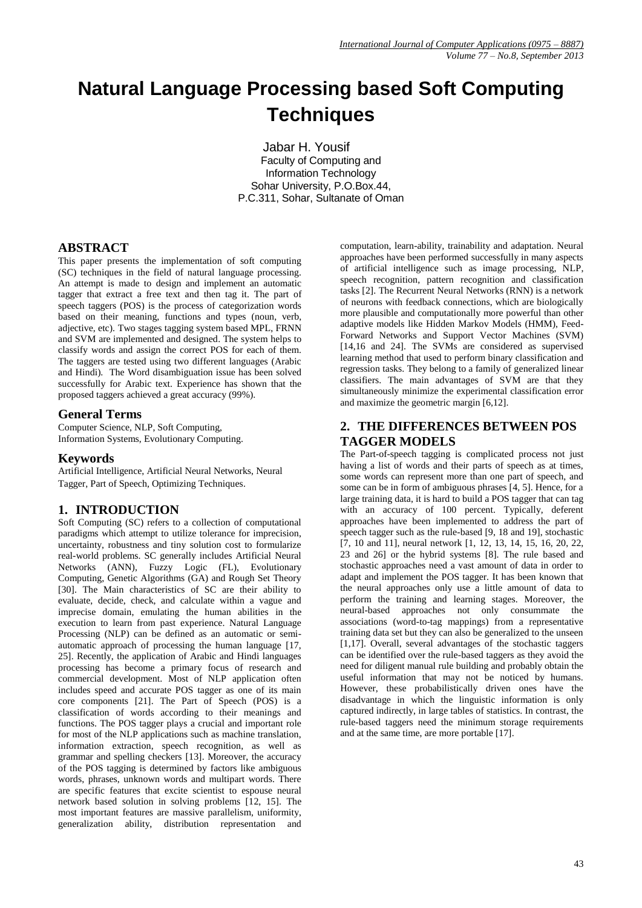# **Natural Language Processing based Soft Computing Techniques**

Jabar H. Yousif Faculty of Computing and Information Technology Sohar University, P.O.Box.44, P.C.311, Sohar, Sultanate of Oman

## **ABSTRACT**

This paper presents the implementation of soft computing (SC) techniques in the field of natural language processing. An attempt is made to design and implement an automatic tagger that extract a free text and then tag it. The part of speech taggers (POS) is the process of categorization words based on their meaning, functions and types (noun, verb, adjective, etc). Two stages tagging system based MPL, FRNN and SVM are implemented and designed. The system helps to classify words and assign the correct POS for each of them. The taggers are tested using two different languages (Arabic and Hindi). The Word disambiguation issue has been solved successfully for Arabic text. Experience has shown that the proposed taggers achieved a great accuracy (99%).

#### **General Terms**

Computer Science, NLP, Soft Computing, Information Systems, Evolutionary Computing.

### **Keywords**

Artificial Intelligence, Artificial Neural Networks, Neural Tagger, Part of Speech, Optimizing Techniques.

## **1. INTRODUCTION**

Soft Computing (SC) refers to a collection of computational paradigms which attempt to utilize tolerance for imprecision, uncertainty, robustness and tiny solution cost to formularize real-world problems. SC generally includes Artificial Neural Networks (ANN), Fuzzy Logic (FL), Evolutionary Computing, Genetic Algorithms (GA) and Rough Set Theory [30]. The Main characteristics of SC are their ability to evaluate, decide, check, and calculate within a vague and imprecise domain, emulating the human abilities in the execution to learn from past experience. Natural Language Processing (NLP) can be defined as an automatic or semiautomatic approach of processing the human language [17, 25]. Recently, the application of Arabic and Hindi languages processing has become a primary focus of research and commercial development. Most of NLP application often includes speed and accurate POS tagger as one of its main core components [21]. The Part of Speech (POS) is a classification of words according to their meanings and functions. The POS tagger plays a crucial and important role for most of the NLP applications such as machine translation, information extraction, speech recognition, as well as grammar and spelling checkers [13]. Moreover, the accuracy of the POS tagging is determined by factors like ambiguous words, phrases, unknown words and multipart words. There are specific features that excite scientist to espouse neural network based solution in solving problems [12, 15]. The most important features are massive parallelism, uniformity, generalization ability, distribution representation and

computation, learn-ability, trainability and adaptation. Neural approaches have been performed successfully in many aspects of artificial intelligence such as image processing, NLP, speech recognition, pattern recognition and classification tasks [2]. The Recurrent Neural Networks (RNN) is a network of neurons with feedback connections, which are biologically more plausible and computationally more powerful than other adaptive models like Hidden Markov Models (HMM), Feed-Forward Networks and Support Vector Machines (SVM) [14,16 and 24]. The SVMs are considered as supervised learning method that used to perform binary classification and regression tasks. They belong to a family of generalized linear classifiers. The main advantages of SVM are that they simultaneously minimize the experimental classification error and maximize the geometric margin [6,12].

## **2. THE DIFFERENCES BETWEEN POS TAGGER MODELS**

The Part-of-speech tagging is complicated process not just having a list of words and their parts of speech as at times, some words can represent more than one part of speech, and some can be in form of ambiguous phrases [4, 5]. Hence, for a large training data, it is hard to build a POS tagger that can tag with an accuracy of 100 percent. Typically, deferent approaches have been implemented to address the part of speech tagger such as the rule-based [9, 18 and 19], stochastic [7, 10 and 11], neural network [1, 12, 13, 14, 15, 16, 20, 22, 23 and 26] or the hybrid systems [8]. The rule based and stochastic approaches need a vast amount of data in order to adapt and implement the POS tagger. It has been known that the neural approaches only use a little amount of data to perform the training and learning stages. Moreover, the neural-based approaches not only consummate the associations (word-to-tag mappings) from a representative training data set but they can also be generalized to the unseen [1,17]. Overall, several advantages of the stochastic taggers can be identified over the rule-based taggers as they avoid the need for diligent manual rule building and probably obtain the useful information that may not be noticed by humans. However, these probabilistically driven ones have the disadvantage in which the linguistic information is only captured indirectly, in large tables of statistics. In contrast, the rule-based taggers need the minimum storage requirements and at the same time, are more portable [17].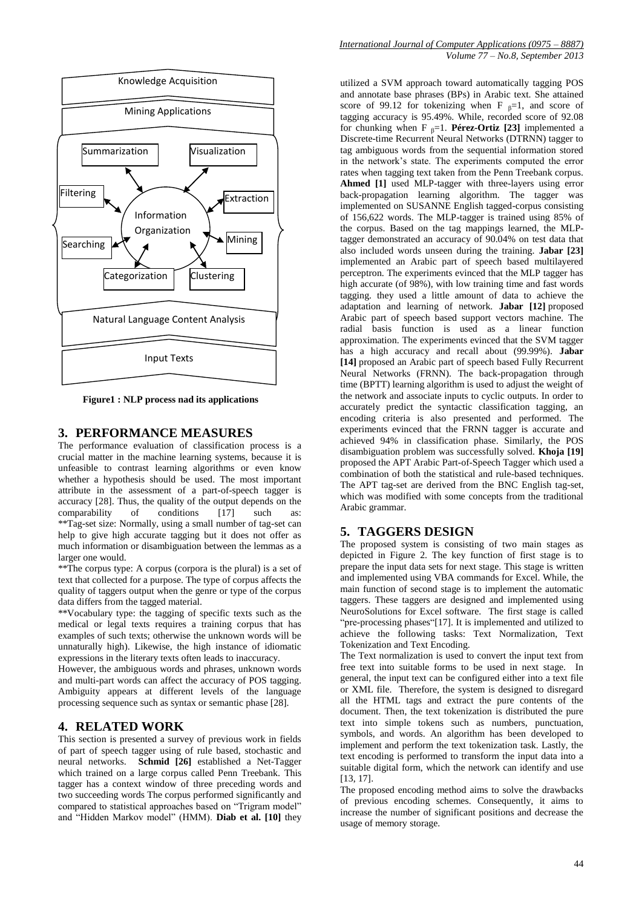

**Figure1 : NLP process nad its applications**

#### **3. PERFORMANCE MEASURES**

The performance evaluation of classification process is a crucial matter in the machine learning systems, because it is unfeasible to contrast learning algorithms or even know whether a hypothesis should be used. The most important attribute in the assessment of a part-of-speech tagger is accuracy [28]. Thus, the quality of the output depends on the comparability of conditions [17] such as: \*\*Tag-set size: Normally, using a small number of tag-set can help to give high accurate tagging but it does not offer as much information or disambiguation between the lemmas as a larger one would.

\*\*The corpus type: A corpus (corpora is the plural) is a set of text that collected for a purpose. The type of corpus affects the quality of taggers output when the genre or type of the corpus data differs from the tagged material.

\*\*Vocabulary type: the tagging of specific texts such as the medical or legal texts requires a training corpus that has examples of such texts; otherwise the unknown words will be unnaturally high). Likewise, the high instance of idiomatic expressions in the literary texts often leads to inaccuracy.

However, the ambiguous words and phrases, unknown words and multi-part words can affect the accuracy of POS tagging. Ambiguity appears at different levels of the language processing sequence such as syntax or semantic phase [28].

#### **4. RELATED WORK**

This section is presented a survey of previous work in fields of part of speech tagger using of rule based, stochastic and neural networks. **Schmid [26]** established a Net-Tagger which trained on a large corpus called Penn Treebank. This tagger has a context window of three preceding words and two succeeding words The corpus performed significantly and compared to statistical approaches based on "Trigram model" and "Hidden Markov model" (HMM). **Diab et al. [10]** they

utilized a SVM approach toward automatically tagging POS and annotate base phrases (BPs) in Arabic text. She attained score of 99.12 for tokenizing when F  $_{\beta}$ =1, and score of tagging accuracy is 95.49%. While, recorded score of 92.08 for chunking when F β=1. **Pérez-Ortiz [23]** implemented a Discrete-time Recurrent Neural Networks (DTRNN) tagger to tag ambiguous words from the sequential information stored in the network's state. The experiments computed the error rates when tagging text taken from the Penn Treebank corpus. **Ahmed [1]** used MLP-tagger with three-layers using error back-propagation learning algorithm. The tagger was implemented on SUSANNE English tagged-corpus consisting of 156,622 words. The MLP-tagger is trained using 85% of the corpus. Based on the tag mappings learned, the MLPtagger demonstrated an accuracy of 90.04% on test data that also included words unseen during the training. **Jabar [23]** implemented an Arabic part of speech based multilayered perceptron. The experiments evinced that the MLP tagger has high accurate (of 98%), with low training time and fast words tagging. they used a little amount of data to achieve the adaptation and learning of network. **Jabar [12]** proposed Arabic part of speech based support vectors machine. The radial basis function is used as a linear function approximation. The experiments evinced that the SVM tagger has a high accuracy and recall about (99.99%). **Jabar [14]** proposed an Arabic part of speech based Fully Recurrent Neural Networks (FRNN). The back-propagation through time (BPTT) learning algorithm is used to adjust the weight of the network and associate inputs to cyclic outputs. In order to accurately predict the syntactic classification tagging, an encoding criteria is also presented and performed. The experiments evinced that the FRNN tagger is accurate and achieved 94% in classification phase. Similarly, the POS disambiguation problem was successfully solved. **Khoja [19]** proposed the APT Arabic Part-of-Speech Tagger which used a combination of both the statistical and rule-based techniques. The APT tag-set are derived from the BNC English tag-set, which was modified with some concepts from the traditional Arabic grammar.

#### **5. TAGGERS DESIGN**

The proposed system is consisting of two main stages as depicted in Figure 2. The key function of first stage is to prepare the input data sets for next stage. This stage is written and implemented using VBA commands for Excel. While, the main function of second stage is to implement the automatic taggers. These taggers are designed and implemented using NeuroSolutions for Excel software. The first stage is called "pre-processing phases"[17]. It is implemented and utilized to achieve the following tasks: Text Normalization, Text Tokenization and Text Encoding.

The Text normalization is used to convert the input text from free text into suitable forms to be used in next stage. In general, the input text can be configured either into a text file or XML file. Therefore, the system is designed to disregard all the HTML tags and extract the pure contents of the document. Then, the text tokenization is distributed the pure text into simple tokens such as numbers, punctuation, symbols, and words. An algorithm has been developed to implement and perform the text tokenization task. Lastly, the text encoding is performed to transform the input data into a suitable digital form, which the network can identify and use [13, 17].

The proposed encoding method aims to solve the drawbacks of previous encoding schemes. Consequently, it aims to increase the number of significant positions and decrease the usage of memory storage.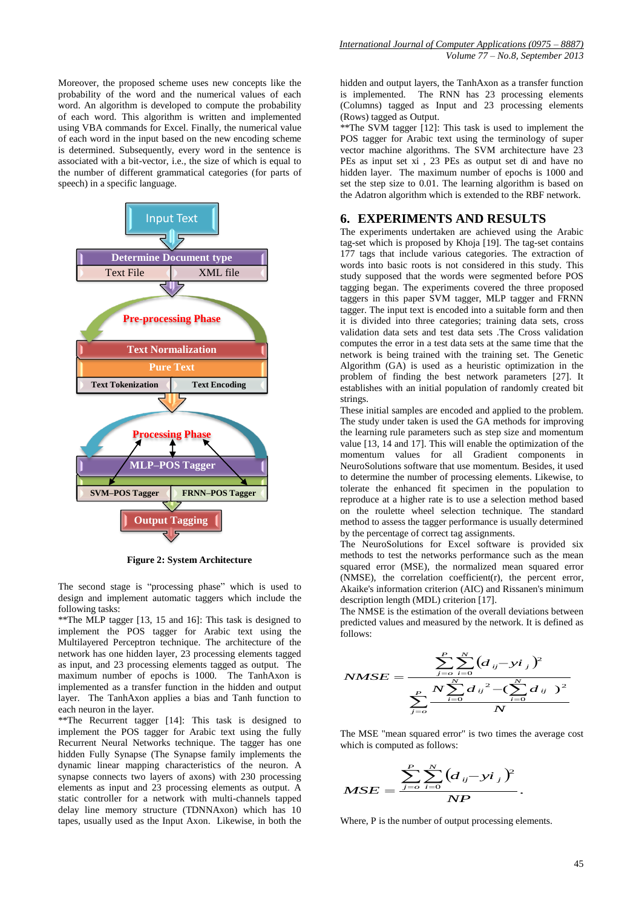Moreover, the proposed scheme uses new concepts like the probability of the word and the numerical values of each word. An algorithm is developed to compute the probability of each word. This algorithm is written and implemented using VBA commands for Excel. Finally, the numerical value of each word in the input based on the new encoding scheme is determined. Subsequently, every word in the sentence is associated with a bit-vector, i.e., the size of which is equal to the number of different grammatical categories (for parts of speech) in a specific language.



**Figure 2: System Architecture**

The second stage is "processing phase" which is used to design and implement automatic taggers which include the following tasks:

\*\*The MLP tagger [13, 15 and 16]: This task is designed to implement the POS tagger for Arabic text using the Multilayered Perceptron technique. The architecture of the network has one hidden layer, 23 processing elements tagged as input, and 23 processing elements tagged as output. The maximum number of epochs is 1000. The TanhAxon is implemented as a transfer function in the hidden and output layer. The TanhAxon applies a bias and Tanh function to each neuron in the layer.

\*\*The Recurrent tagger [14]: This task is designed to implement the POS tagger for Arabic text using the fully Recurrent Neural Networks technique. The tagger has one hidden Fully Synapse (The Synapse family implements the dynamic linear mapping characteristics of the neuron. A synapse connects two layers of axons) with 230 processing elements as input and 23 processing elements as output. A static controller for a network with multi-channels tapped delay line memory structure (TDNNAxon) which has 10 tapes, usually used as the Input Axon. Likewise, in both the

hidden and output layers, the TanhAxon as a transfer function is implemented. The RNN has 23 processing elements (Columns) tagged as Input and 23 processing elements (Rows) tagged as Output.

\*\*The SVM tagger [12]: This task is used to implement the POS tagger for Arabic text using the terminology of super vector machine algorithms. The SVM architecture have 23 PEs as input set xi, 23 PEs as output set di and have no hidden layer. The maximum number of epochs is 1000 and set the step size to 0.01. The learning algorithm is based on the Adatron algorithm which is extended to the RBF network.

### **6. EXPERIMENTS AND RESULTS**

The experiments undertaken are achieved using the Arabic tag-set which is proposed by Khoja [19]. The tag-set contains 177 tags that include various categories. The extraction of words into basic roots is not considered in this study. This study supposed that the words were segmented before POS tagging began. The experiments covered the three proposed taggers in this paper SVM tagger, MLP tagger and FRNN tagger. The input text is encoded into a suitable form and then it is divided into three categories; training data sets, cross validation data sets and test data sets .The Cross validation computes the error in a test data sets at the same time that the network is being trained with the training set. The Genetic Algorithm (GA) is used as a heuristic optimization in the problem of finding the best network parameters [27]. It establishes with an initial population of randomly created bit strings.

These initial samples are encoded and applied to the problem. The study under taken is used the GA methods for improving the learning rule parameters such as step size and momentum value [13, 14 and 17]. This will enable the optimization of the momentum values for all Gradient components in NeuroSolutions software that use momentum. Besides, it used to determine the number of processing elements. Likewise, to tolerate the enhanced fit specimen in the population to reproduce at a higher rate is to use a selection method based on the roulette wheel selection technique. The standard method to assess the tagger performance is usually determined by the percentage of correct tag assignments.

The NeuroSolutions for Excel software is provided six methods to test the networks performance such as the mean squared error (MSE), the normalized mean squared error (NMSE), the correlation coefficient(r), the percent error, Akaike's information criterion (AIC) and Rissanen's minimum description length (MDL) criterion [17].

The NMSE is the estimation of the overall deviations between predicted values and measured by the network. It is defined as follows:

$$
NMSE = \frac{\sum_{j=o}^{P} \sum_{i=0}^{N} (d_{ij} - yi_{j})^{2}}{\sum_{j=o}^{P} \frac{N \sum_{i=0}^{N} d_{ij}^{2} - (\sum_{i=0}^{N} d_{ij})^{2}}{N}}
$$

The MSE "mean squared error" is two times the average cost which is computed as follows:

$$
MSE = \frac{\sum_{j=0}^{P} \sum_{i=0}^{N} (d_{ij} - yi_j)^2}{NP}.
$$

Where, P is the number of output processing elements.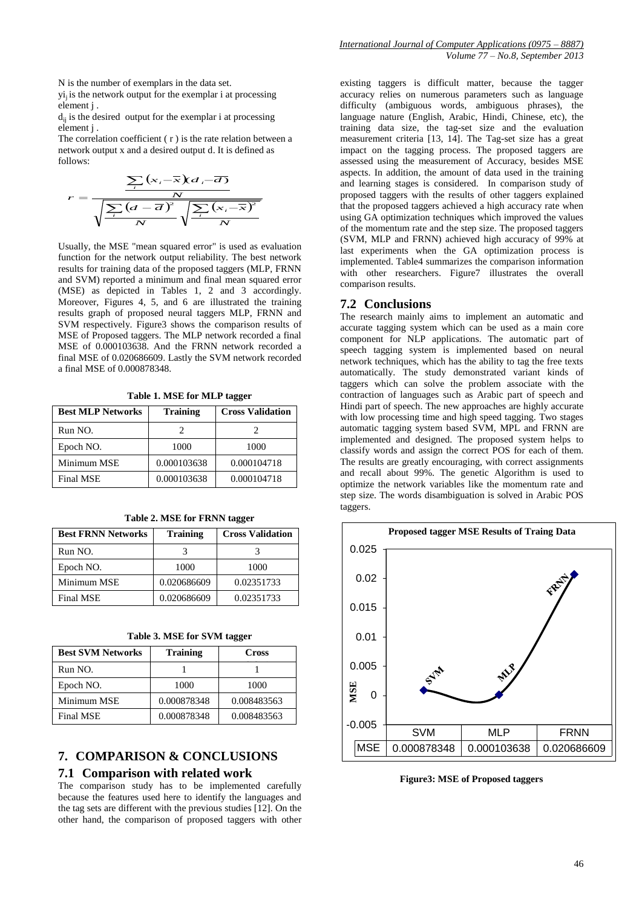N is the number of exemplars in the data set.

 $yi<sub>i</sub>$  is the network output for the exemplar i at processing element j .

 $d_{ii}$  is the desired output for the exemplar i at processing element j .

The correlation coefficient ( r ) is the rate relation between a network output x and a desired output d. It is defined as follows:

$$
r = \frac{\sum_{i} (x_i - \overline{x}) d_i - \overline{d}}{\sqrt{\sum_{i} (d - \overline{d})^2} \sqrt{\sum_{i} (x_i - \overline{x})^2}}
$$

Usually, the MSE "mean squared error" is used as evaluation function for the network output reliability. The best network results for training data of the proposed taggers (MLP, FRNN and SVM) reported a minimum and final mean squared error (MSE) as depicted in Tables 1, 2 and 3 accordingly. Moreover, Figures 4, 5, and 6 are illustrated the training results graph of proposed neural taggers MLP, FRNN and SVM respectively. Figure3 shows the comparison results of MSE of Proposed taggers. The MLP network recorded a final MSE of 0.000103638. And the FRNN network recorded a final MSE of 0.020686609. Lastly the SVM network recorded a final MSE of 0.000878348.

**Table 1. MSE for MLP tagger**

| <b>Best MLP Networks</b> | <b>Training</b> | <b>Cross Validation</b> |
|--------------------------|-----------------|-------------------------|
| Run NO.                  |                 |                         |
| Epoch NO.                | 1000            | 1000                    |
| Minimum MSE              | 0.000103638     | 0.000104718             |
| Final MSE                | 0.000103638     | 0.000104718             |

**Table 2. MSE for FRNN tagger**

| <b>Best FRNN Networks</b> | <b>Training</b> | <b>Cross Validation</b> |
|---------------------------|-----------------|-------------------------|
| Run NO.                   |                 |                         |
| Epoch NO.                 | 1000            | 1000                    |
| Minimum MSE               | 0.020686609     | 0.02351733              |
| Final MSE                 | 0.020686609     | 0.02351733              |

| Table 3. MSE for SVM tagger |  |  |  |  |  |
|-----------------------------|--|--|--|--|--|
|-----------------------------|--|--|--|--|--|

| <b>Best SVM Networks</b> | <b>Training</b> | <b>Cross</b> |
|--------------------------|-----------------|--------------|
| Run NO.                  |                 |              |
| Epoch NO.                | 1000            | 1000         |
| Minimum MSE              | 0.000878348     | 0.008483563  |
| <b>Final MSE</b>         | 0.000878348     | 0.008483563  |

# **7. COMPARISON & CONCLUSIONS**

#### **7.1 Comparison with related work**

The comparison study has to be implemented carefully because the features used here to identify the languages and the tag sets are different with the previous studies [12]. On the other hand, the comparison of proposed taggers with other

existing taggers is difficult matter, because the tagger accuracy relies on numerous parameters such as language difficulty (ambiguous words, ambiguous phrases), the language nature (English, Arabic, Hindi, Chinese, etc), the training data size, the tag-set size and the evaluation measurement criteria [13, 14]. The Tag-set size has a great impact on the tagging process. The proposed taggers are assessed using the measurement of Accuracy, besides MSE aspects. In addition, the amount of data used in the training and learning stages is considered. In comparison study of proposed taggers with the results of other taggers explained that the proposed taggers achieved a high accuracy rate when using GA optimization techniques which improved the values of the momentum rate and the step size. The proposed taggers (SVM, MLP and FRNN) achieved high accuracy of 99% at last experiments when the GA optimization process is implemented. Table4 summarizes the comparison information with other researchers. Figure7 illustrates the overall comparison results.

#### **7.2 Conclusions**

The research mainly aims to implement an automatic and accurate tagging system which can be used as a main core component for NLP applications. The automatic part of speech tagging system is implemented based on neural network techniques, which has the ability to tag the free texts automatically. The study demonstrated variant kinds of taggers which can solve the problem associate with the contraction of languages such as Arabic part of speech and Hindi part of speech. The new approaches are highly accurate with low processing time and high speed tagging. Two stages automatic tagging system based SVM, MPL and FRNN are implemented and designed. The proposed system helps to classify words and assign the correct POS for each of them. The results are greatly encouraging, with correct assignments and recall about 99%. The genetic Algorithm is used to optimize the network variables like the momentum rate and step size. The words disambiguation is solved in Arabic POS taggers.



**Figure3: MSE of Proposed taggers**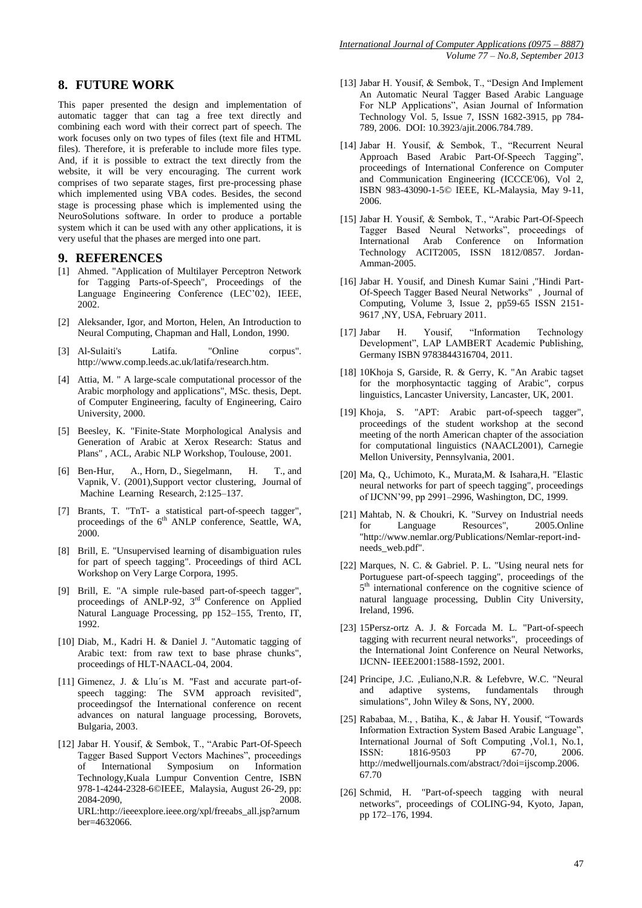# **8. FUTURE WORK**

This paper presented the design and implementation of automatic tagger that can tag a free text directly and combining each word with their correct part of speech. The work focuses only on two types of files (text file and HTML files). Therefore, it is preferable to include more files type. And, if it is possible to extract the text directly from the website, it will be very encouraging. The current work comprises of two separate stages, first pre-processing phase which implemented using VBA codes. Besides, the second stage is processing phase which is implemented using the NeuroSolutions software. In order to produce a portable system which it can be used with any other applications, it is very useful that the phases are merged into one part.

#### **9. REFERENCES**

- [1] Ahmed. "Application of Multilayer Perceptron Network for Tagging Parts-of-Speech", Proceedings of the Language Engineering Conference (LEC'02), IEEE, 2002.
- [2] Aleksander, Igor, and Morton, Helen, An Introduction to Neural Computing, Chapman and Hall, London, 1990.
- [3] Al-Sulaiti's Latifa. "Online corpus". [http://www.comp.leeds.ac.uk/latifa/research.htm.](http://www.comp.leeds.ac.uk/latifa/research.htm)
- [4] Attia, M. " A large-scale computational processor of the Arabic morphology and applications", MSc. thesis, Dept. of Computer Engineering, faculty of Engineering, Cairo University, 2000.
- [5] Beesley, K. "Finite-State Morphological Analysis and Generation of Arabic at Xerox Research: Status and Plans" , ACL, Arabic NLP Workshop, Toulouse, 2001.
- [6] Ben-Hur, A., Horn, D., Siegelmann, H. T., and Vapnik, V. (2001),Support vector clustering, Journal of Machine Learning Research, 2:125–137.
- [7] Brants, T. "TnT- a statistical part-of-speech tagger", proceedings of the 6<sup>th</sup> ANLP conference, Seattle, WA, 2000.
- [8] Brill, E. "Unsupervised learning of disambiguation rules for part of speech tagging". Proceedings of third ACL Workshop on Very Large Corpora, 1995.
- [9] Brill, E. "A simple rule-based part-of-speech tagger", proceedings of ANLP-92,  $3<sup>rd</sup>$  Conference on Applied Natural Language Processing, pp 152–155, Trento, IT, 1992.
- [10] Diab, M., Kadri H. & Daniel J. "Automatic tagging of Arabic text: from raw text to base phrase chunks", proceedings of HLT-NAACL-04, 2004.
- [11] Gimenez, J. & Llu'is M. "Fast and accurate part-ofspeech tagging: The SVM approach revisited", proceedingsof the International conference on recent advances on natural language processing, Borovets, Bulgaria, 2003.
- [12] Jabar H. Yousif, & Sembok, T., "Arabic Part-Of-Speech Tagger Based Support Vectors Machines", proceedings of International Symposium on Information Technology,Kuala Lumpur Convention Centre, ISBN 978-1-4244-2328-6©IEEE, Malaysia, August 26-29, pp: 2084-2090, 2008. URL:http://ieeexplore.ieee.org/xpl/freeabs\_all.jsp?arnum ber=4632066.
- [13] Jabar H. Yousif, & Sembok, T., "Design And Implement An Automatic Neural Tagger Based Arabic Language For NLP Applications", Asian Journal of Information Technology Vol. 5, Issue 7, ISSN 1682-3915, pp 784- 789, 2006. DOI: 10.3923/ajit.2006.784.789.
- [14] Jabar H. Yousif, & Sembok, T., "Recurrent Neural Approach Based Arabic Part-Of-Speech Tagging", proceedings of International Conference on Computer and Communication Engineering (ICCCE'06), Vol 2, ISBN 983-43090-1-5© IEEE, KL-Malaysia, May 9-11, 2006.
- [15] Jabar H. Yousif, & Sembok, T., "Arabic Part-Of-Speech Tagger Based Neural Networks", proceedings of International Arab Conference on Information Technology ACIT2005, ISSN 1812/0857. Jordan-Amman-2005.
- [16] Jabar H. Yousif, and Dinesh Kumar Saini ,"Hindi Part-Of-Speech Tagger Based Neural Networks" , Journal of Computing, Volume 3, Issue 2, pp59-65 ISSN 2151- 9617 ,NY, USA, February 2011.
- [17] Jabar H. Yousif, "Information Technology Development", LAP LAMBERT Academic Publishing, Germany ISBN 9783844316704, 2011.
- [18] 10Khoja S, Garside, R. & Gerry, K. ["An Arabic tagset](http://zeus.cs.pacificu.edu/shereen/CL2001.pdf)  [for the morphosyntactic tagging of Arabic"](http://zeus.cs.pacificu.edu/shereen/CL2001.pdf), corpus linguistics, Lancaster University, Lancaster, UK, 2001.
- [19] Khoja, S. "APT: Arabic part-of-speech tagger", proceedings of the student workshop at the second meeting of the north American chapter of the association for computational linguistics (NAACL2001), Carnegie Mellon University, Pennsylvania, 2001.
- [20] Ma, Q., Uchimoto, K., Murata,M. & Isahara,H. "Elastic neural networks for part of speech tagging", proceedings of IJCNN'99, pp 2991–2996, Washington, DC, 1999.
- [21] Mahtab, N. & Choukri, K. "Survey on Industrial needs for Language Resources", 2005.Online ["http://www.nemlar.org/Publications/Nemlar-report-ind](http://www.nemlar.org/Publications/Nemlar-report-ind-needs_web.pdf)[needs\\_web.pdf"](http://www.nemlar.org/Publications/Nemlar-report-ind-needs_web.pdf).
- [22] Marques, N. C. & Gabriel. P. L. "Using neural nets for Portuguese part-of-speech tagging", proceedings of the 5<sup>th</sup> international conference on the cognitive science of natural language processing, Dublin City University, Ireland, 1996.
- [23] 15Persz-ortz A. J. & Forcada M. L. "Part-of-speech tagging with recurrent neural networks", proceedings of the International Joint Conference on Neural Networks, IJCNN- IEEE2001:1588-1592, 2001.
- [24] Principe, J.C. ,Euliano,N.R. & Lefebvre, W.C. "Neural and adaptive systems, fundamentals through simulations", John Wiley & Sons, NY, 2000.
- [25] Rababaa, M., , Batiha, K., & Jabar H. Yousif, "Towards Information Extraction System Based Arabic Language", International Journal of Soft Computing ,Vol.1, No.1, ISSN: 1816-9503 PP 67-70, 2006. [http://medwelljournals.com/abstract/?doi=ijscomp.2006.](http://medwelljournals.com/abstract/?doi=ijscomp.2006.67.70) [67.70](http://medwelljournals.com/abstract/?doi=ijscomp.2006.67.70)
- [26] Schmid, H. "Part-of-speech tagging with neural networks", proceedings of COLING-94, Kyoto, Japan, pp 172–176, 1994.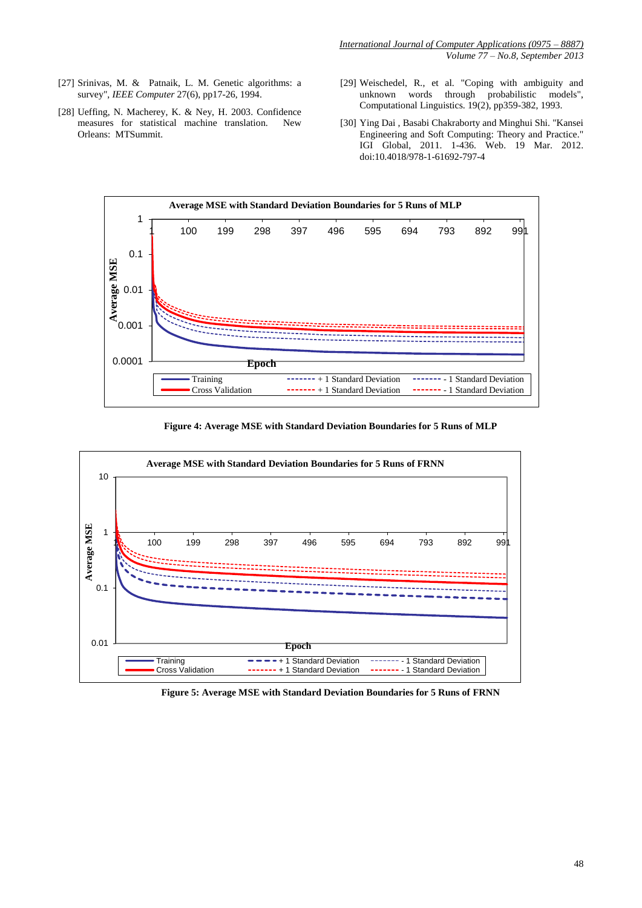- [27] Srinivas, M. & Patnaik, L. M. Genetic algorithms: a survey", *IEEE Computer* 27(6), pp17-26, 1994.
- [28] Ueffing, N. Macherey, K. & Ney, H. 2003. Confidence measures for statistical machine translation. New Orleans: MTSummit.
- [29] Weischedel, R., et al. "Coping with ambiguity and unknown words through probabilistic models", Computational Linguistics. 19(2), pp359-382, 1993.
- [30] Ying Dai , Basabi Chakraborty and Minghui Shi. "Kansei Engineering and Soft Computing: Theory and Practice." IGI Global, 2011. 1-436. Web. 19 Mar. 2012. doi:10.4018/978-1-61692-797-4



**Figure 4: Average MSE with Standard Deviation Boundaries for 5 Runs of MLP**



**Figure 5: Average MSE with Standard Deviation Boundaries for 5 Runs of FRNN**